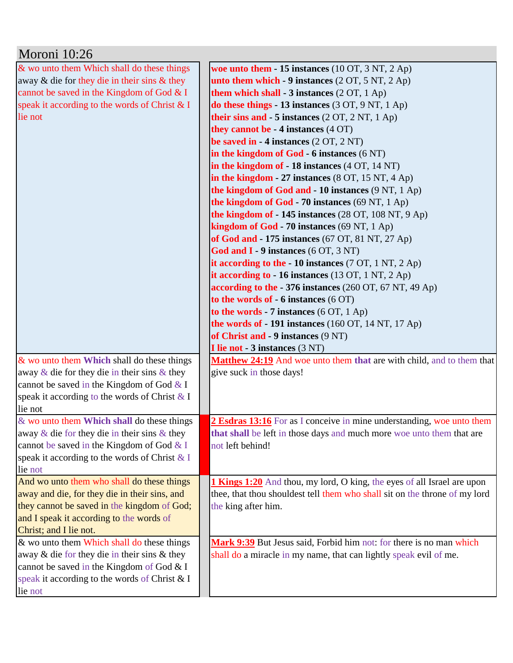| Moroni 10:26                                       |                                                                                   |
|----------------------------------------------------|-----------------------------------------------------------------------------------|
| & wo unto them Which shall do these things         | woe unto them $-15$ instances (10 OT, 3 NT, 2 Ap)                                 |
| away & die for they die in their sins & they       | unto them which $-9$ instances $(2 OT, 5 NT, 2 Ap)$                               |
| cannot be saved in the Kingdom of God & I          | them which shall $-3$ instances $(2 OT, 1 Ap)$                                    |
| speak it according to the words of Christ & I      | do these things - 13 instances $(3 OT, 9 NT, 1 Ap)$                               |
| lie not                                            | their sins and $-5$ instances $(2 OT, 2 NT, 1 Ap)$                                |
|                                                    | they cannot be $-4$ instances $(4 \text{ OT})$                                    |
|                                                    | be saved in $-4$ instances $(2 OT, 2 NT)$                                         |
|                                                    | in the kingdom of $God - 6$ instances $(6 NT)$                                    |
|                                                    | in the kingdom of $-18$ instances $(4 \text{ OT}, 14 \text{ NT})$                 |
|                                                    | in the kingdom - 27 instances $(8 \text{ OT}, 15 \text{ NT}, 4 \text{ Ap})$       |
|                                                    | the kingdom of God and $-10$ instances $(9 \text{ NT}, 1 \text{ Ap})$             |
|                                                    | the kingdom of God - 70 instances (69 NT, 1 Ap)                                   |
|                                                    | the kingdom of $-145$ instances (28 OT, 108 NT, 9 Ap)                             |
|                                                    | kingdom of $God - 70$ instances $(69 \text{ NT}, 1 \text{ Ap})$                   |
|                                                    | of God and - 175 instances (67 OT, 81 NT, 27 Ap)                                  |
|                                                    | God and $I - 9$ instances (6 OT, 3 NT)                                            |
|                                                    | it according to the $-10$ instances (7 OT, 1 NT, 2 Ap)                            |
|                                                    | it according to $-16$ instances (13 OT, 1 NT, 2 Ap)                               |
|                                                    | according to the - 376 instances $(260 \text{ OT}, 67 \text{ NT}, 49 \text{ Ap})$ |
|                                                    | to the words of $-6$ instances $(6 \text{ OT})$                                   |
|                                                    | to the words - 7 instances $(6 OT, 1 Ap)$                                         |
|                                                    | the words of $-191$ instances (160 OT, 14 NT, 17 Ap)                              |
|                                                    | of Christ and - 9 instances (9 NT)                                                |
|                                                    | I lie not - 3 instances (3 NT)                                                    |
| & wo unto them Which shall do these things         | Matthew 24:19 And woe unto them that are with child, and to them that             |
| away $\&$ die for they die in their sins $\&$ they | give suck in those days!                                                          |
| cannot be saved in the Kingdom of God $&$ I        |                                                                                   |
| speak it according to the words of Christ & I      |                                                                                   |
| lie not                                            |                                                                                   |
| & wo unto them Which shall do these things         | 2 Esdras 13:16 For as I conceive in mine understanding, woe unto them             |
| away $\&$ die for they die in their sins $\&$ they | that shall be left in those days and much more woe unto them that are             |
| cannot be saved in the Kingdom of God & I          | not left behind!                                                                  |
| speak it according to the words of Christ & I      |                                                                                   |
| lie not                                            |                                                                                   |
| And wo unto them who shall do these things         | <b>1 Kings 1:20</b> And thou, my lord, O king, the eyes of all Israel are upon    |
| away and die, for they die in their sins, and      | thee, that thou shouldest tell them who shall sit on the throne of my lord        |
| they cannot be saved in the kingdom of God;        | the king after him.                                                               |
| and I speak it according to the words of           |                                                                                   |
| Christ; and I lie not.                             |                                                                                   |
| & wo unto them Which shall do these things         | Mark 9:39 But Jesus said, Forbid him not: for there is no man which               |
| away & die for they die in their sins & they       | shall do a miracle in my name, that can lightly speak evil of me.                 |
| cannot be saved in the Kingdom of God & I          |                                                                                   |
| speak it according to the words of Christ & I      |                                                                                   |
| lie not                                            |                                                                                   |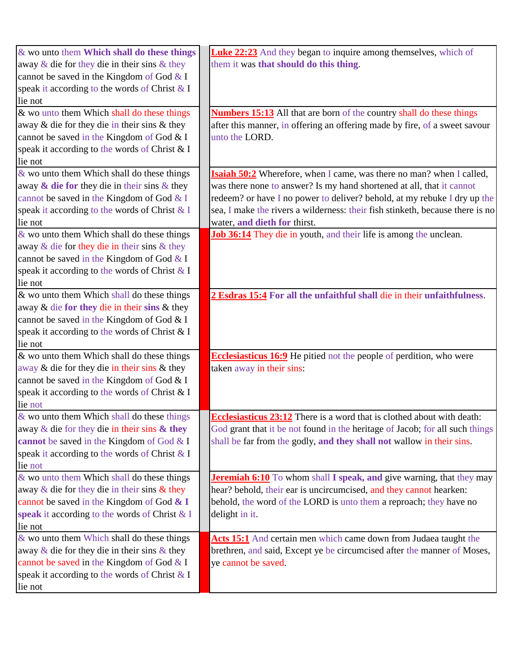| & wo unto them Which shall do these things         | <b>Luke 22:23</b> And they began to inquire among themselves, which of        |
|----------------------------------------------------|-------------------------------------------------------------------------------|
| away $\&$ die for they die in their sins $\&$ they | them it was that should do this thing.                                        |
| cannot be saved in the Kingdom of God & I          |                                                                               |
| speak it according to the words of Christ & I      |                                                                               |
| lie not                                            |                                                                               |
| & wo unto them Which shall do these things         | <b>Numbers 15:13</b> All that are born of the country shall do these things   |
| away $\&$ die for they die in their sins $\&$ they | after this manner, in offering an offering made by fire, of a sweet savour    |
| cannot be saved in the Kingdom of God & I          | unto the LORD.                                                                |
| speak it according to the words of Christ & I      |                                                                               |
| lie not                                            |                                                                               |
| & wo unto them Which shall do these things         | <b>Isaiah 50:2</b> Wherefore, when I came, was there no man? when I called,   |
| away $\&$ die for they die in their sins $\&$ they | was there none to answer? Is my hand shortened at all, that it cannot         |
| cannot be saved in the Kingdom of God & I          | redeem? or have I no power to deliver? behold, at my rebuke I dry up the      |
| speak it according to the words of Christ & I      | sea, I make the rivers a wilderness: their fish stinketh, because there is no |
| lie not                                            | water, and dieth for thirst.                                                  |
| $&$ wo unto them Which shall do these things       | Job 36:14 They die in youth, and their life is among the unclean.             |
| away $\&$ die for they die in their sins $\&$ they |                                                                               |
| cannot be saved in the Kingdom of God & I          |                                                                               |
| speak it according to the words of Christ & I      |                                                                               |
| lie not                                            |                                                                               |
| & wo unto them Which shall do these things         | 2 Esdras 15:4 For all the unfaithful shall die in their unfaithfulness.       |
| away $\&$ die for they die in their sins $\&$ they |                                                                               |
| cannot be saved in the Kingdom of God & I          |                                                                               |
| speak it according to the words of Christ & I      |                                                                               |
| lie not                                            |                                                                               |
| & wo unto them Which shall do these things         | Ecclesiasticus 16:9 He pitied not the people of perdition, who were           |
| away & die for they die in their sins & they       | taken away in their sins:                                                     |
| cannot be saved in the Kingdom of God & I          |                                                                               |
| speak it according to the words of Christ & I      |                                                                               |
| lie not                                            |                                                                               |
| $&$ wo unto them Which shall do these things       | <b>Ecclesiasticus 23:12</b> There is a word that is clothed about with death: |
| away $\&$ die for they die in their sins $\&$ they | God grant that it be not found in the heritage of Jacob; for all such things  |
| cannot be saved in the Kingdom of God & I          | shall be far from the godly, and they shall not wallow in their sins.         |
| speak it according to the words of Christ & I      |                                                                               |
| lie not                                            |                                                                               |
| & wo unto them Which shall do these things         | <b>Jeremiah 6:10</b> To whom shall I speak, and give warning, that they may   |
| away $\&$ die for they die in their sins $\&$ they | hear? behold, their ear is uncircumcised, and they cannot hearken:            |
| cannot be saved in the Kingdom of God $\&$ I       | behold, the word of the LORD is unto them a reproach; they have no            |
| speak it according to the words of Christ & I      | delight in it.                                                                |
| lie not                                            |                                                                               |
| & wo unto them Which shall do these things         | Acts 15:1 And certain men which came down from Judaea taught the              |
| away $\&$ die for they die in their sins $\&$ they | brethren, and said, Except ye be circumcised after the manner of Moses,       |
| cannot be saved in the Kingdom of God & I          | ye cannot be saved.                                                           |
| speak it according to the words of Christ & I      |                                                                               |
| lie not                                            |                                                                               |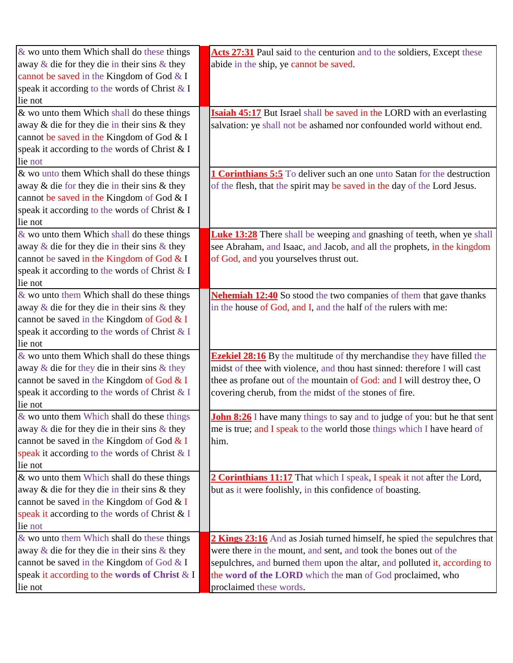| & wo unto them Which shall do these things         | Acts 27:31 Paul said to the centurion and to the soldiers, Except these          |
|----------------------------------------------------|----------------------------------------------------------------------------------|
| away $\&$ die for they die in their sins $\&$ they | abide in the ship, ye cannot be saved.                                           |
| cannot be saved in the Kingdom of God & I          |                                                                                  |
| speak it according to the words of Christ & I      |                                                                                  |
| lie not                                            |                                                                                  |
| & wo unto them Which shall do these things         | <b>Isaiah 45:17</b> But Israel shall be saved in the LORD with an everlasting    |
| away & die for they die in their sins & they       | salvation: ye shall not be ashamed nor confounded world without end.             |
| cannot be saved in the Kingdom of God & I          |                                                                                  |
| speak it according to the words of Christ & I      |                                                                                  |
| lie not                                            |                                                                                  |
| & wo unto them Which shall do these things         | 1 Corinthians 5:5 To deliver such an one unto Satan for the destruction          |
| away & die for they die in their sins & they       | of the flesh, that the spirit may be saved in the day of the Lord Jesus.         |
| cannot be saved in the Kingdom of God & I          |                                                                                  |
| speak it according to the words of Christ & I      |                                                                                  |
| lie not                                            |                                                                                  |
| & wo unto them Which shall do these things         | <b>Luke 13:28</b> There shall be weeping and gnashing of teeth, when ye shall    |
| away $\&$ die for they die in their sins $\&$ they | see Abraham, and Isaac, and Jacob, and all the prophets, in the kingdom          |
| cannot be saved in the Kingdom of God & I          | of God, and you yourselves thrust out.                                           |
| speak it according to the words of Christ & I      |                                                                                  |
| lie not                                            |                                                                                  |
| $\&$ wo unto them Which shall do these things      | <b>Nehemiah 12:40</b> So stood the two companies of them that gave thanks        |
| away $\&$ die for they die in their sins $\&$ they | in the house of God, and I, and the half of the rulers with me:                  |
| cannot be saved in the Kingdom of God & I          |                                                                                  |
| speak it according to the words of Christ & I      |                                                                                  |
| lie not                                            |                                                                                  |
| $\&$ wo unto them Which shall do these things      | <b>Ezekiel 28:16</b> By the multitude of thy merchandise they have filled the    |
| away $\&$ die for they die in their sins $\&$ they | midst of thee with violence, and thou hast sinned: therefore I will cast         |
| cannot be saved in the Kingdom of God & I          | thee as profane out of the mountain of God: and I will destroy thee, O           |
| speak it according to the words of Christ & I      | covering cherub, from the midst of the stones of fire.                           |
| lie not                                            |                                                                                  |
| & wo unto them Which shall do these things         | <b>John 8:26</b> I have many things to say and to judge of you: but he that sent |
| away $\&$ die for they die in their sins $\&$ they | me is true; and I speak to the world those things which I have heard of          |
| cannot be saved in the Kingdom of God & I          | him.                                                                             |
| speak it according to the words of Christ & I      |                                                                                  |
| lie not                                            |                                                                                  |
| & wo unto them Which shall do these things         | 2 Corinthians 11:17 That which I speak, I speak it not after the Lord,           |
| away & die for they die in their sins & they       | but as it were foolishly, in this confidence of boasting.                        |
| cannot be saved in the Kingdom of God & I          |                                                                                  |
| speak it according to the words of Christ & I      |                                                                                  |
| lie not                                            |                                                                                  |
| & wo unto them Which shall do these things         | 2 Kings 23:16 And as Josiah turned himself, he spied the sepulchres that         |
| away $\&$ die for they die in their sins $\&$ they | were there in the mount, and sent, and took the bones out of the                 |
| cannot be saved in the Kingdom of God & I          | sepulchres, and burned them upon the altar, and polluted it, according to        |
| speak it according to the words of Christ & I      | the word of the LORD which the man of God proclaimed, who                        |
| lie not                                            | proclaimed these words.                                                          |